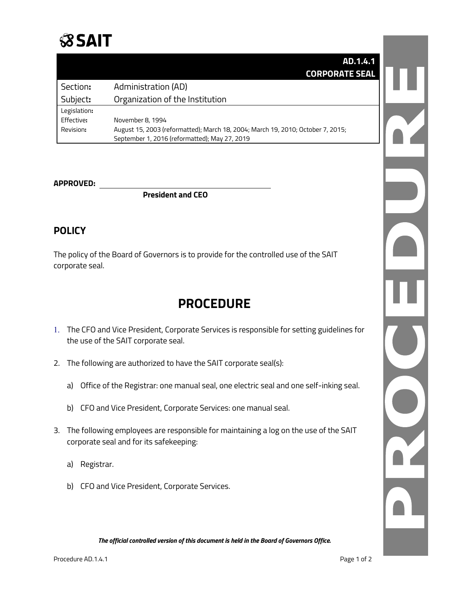

|              | AD.1.4.1                                                                        |
|--------------|---------------------------------------------------------------------------------|
|              | <b>CORPORATE SEAL</b>                                                           |
| Section:     | Administration (AD)                                                             |
| Subject:     | Organization of the Institution                                                 |
| Legislation: |                                                                                 |
| Effective:   | November 8, 1994                                                                |
| Revision:    | August 15, 2003 (reformatted); March 18, 2004; March 19, 2010; October 7, 2015; |
|              | September 1, 2016 (reformatted); May 27, 2019                                   |

#### **APPROVED:**

**President and CEO**

### **POLICY**

The policy of the Board of Governors is to provide for the controlled use of the SAIT corporate seal.

## **PROCEDURE**

- 1. The CFO and Vice President, Corporate Services is responsible for setting guidelines for the use of the SAIT corporate seal.
- 2. The following are authorized to have the SAIT corporate seal(s):
	- a) Office of the Registrar: one manual seal, one electric seal and one self-inking seal.
	- b) CFO and Vice President, Corporate Services: one manual seal.
- 3. The following employees are responsible for maintaining a log on the use of the SAIT corporate seal and for its safekeeping:
	- a) Registrar.
	- b) CFO and Vice President, Corporate Services.

DE LA 

*The official controlled version of this document is held in the Board of Governors Office.*